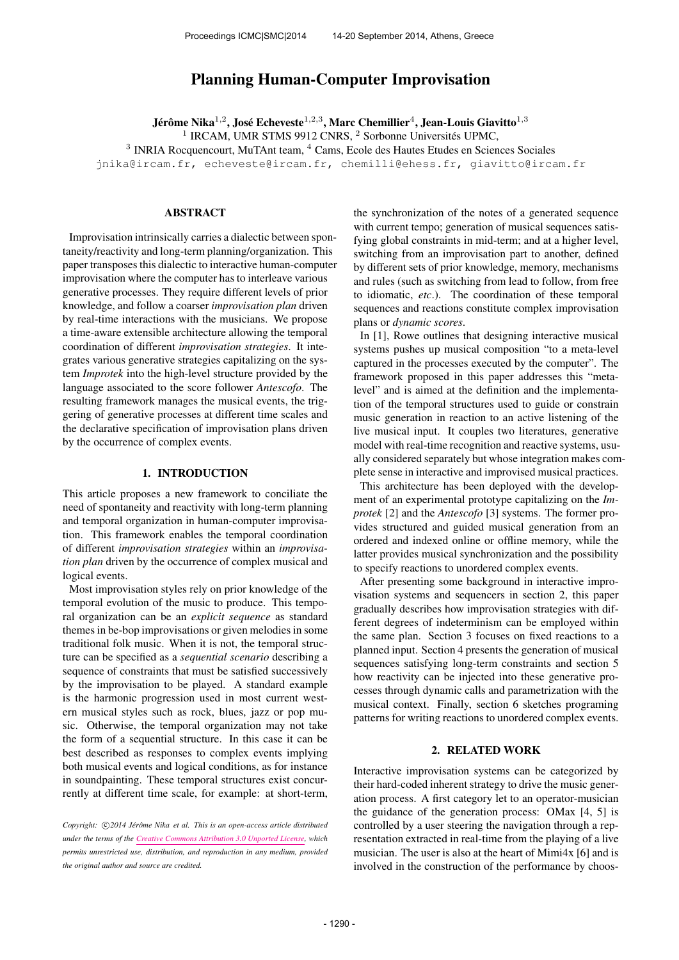# Planning Human-Computer Improvisation

Jérôme Nika $^{1,2}$ , José Echeveste $^{1,2,3}$ , Marc Chemillier $^4$ , Jean-Louis Giavitto $^{1,3}$ <sup>1</sup> IRCAM, UMR STMS 9912 CNRS, <sup>2</sup> Sorbonne Universités UPMC, <sup>3</sup> INRIA Rocquencourt, MuTAnt team, <sup>4</sup> Cams, Ecole des Hautes Etudes en Sciences Sociales [jnika@ircam.fr,](mailto:jnika@ircam.fr) [echeveste@ircam.fr,](mailto:echeveste@ircam.fr) [chemilli@ehess.fr,](mailto:chemilli@ehess.fr) [giavitto@ircam.fr](mailto:giavitto@ircam.fr)

### ABSTRACT

Improvisation intrinsically carries a dialectic between spontaneity/reactivity and long-term planning/organization. This paper transposes this dialectic to interactive human-computer improvisation where the computer has to interleave various generative processes. They require different levels of prior knowledge, and follow a coarser *improvisation plan* driven by real-time interactions with the musicians. We propose a time-aware extensible architecture allowing the temporal coordination of different *improvisation strategies*. It integrates various generative strategies capitalizing on the system *Improtek* into the high-level structure provided by the language associated to the score follower *Antescofo*. The resulting framework manages the musical events, the triggering of generative processes at different time scales and the declarative specification of improvisation plans driven by the occurrence of complex events.

## 1. INTRODUCTION

This article proposes a new framework to conciliate the need of spontaneity and reactivity with long-term planning and temporal organization in human-computer improvisation. This framework enables the temporal coordination of different *improvisation strategies* within an *improvisation plan* driven by the occurrence of complex musical and logical events.

Most improvisation styles rely on prior knowledge of the temporal evolution of the music to produce. This temporal organization can be an *explicit sequence* as standard themes in be-bop improvisations or given melodies in some traditional folk music. When it is not, the temporal structure can be specified as a *sequential scenario* describing a sequence of constraints that must be satisfied successively by the improvisation to be played. A standard example is the harmonic progression used in most current western musical styles such as rock, blues, jazz or pop music. Otherwise, the temporal organization may not take the form of a sequential structure. In this case it can be best described as responses to complex events implying both musical events and logical conditions, as for instance in soundpainting. These temporal structures exist concurrently at different time scale, for example: at short-term,

the synchronization of the notes of a generated sequence with current tempo; generation of musical sequences satisfying global constraints in mid-term; and at a higher level, switching from an improvisation part to another, defined by different sets of prior knowledge, memory, mechanisms and rules (such as switching from lead to follow, from free to idiomatic, *etc*.). The coordination of these temporal sequences and reactions constitute complex improvisation plans or *dynamic scores*.

In [1]. Rowe outlines that designing interactive musical systems pushes up musical composition "to a meta-level captured in the processes executed by the computer". The framework proposed in this paper addresses this "metalevel" and is aimed at the definition and the implementation of the temporal structures used to guide or constrain music generation in reaction to an active listening of the live musical input. It couples two literatures, generative model with real-time recognition and reactive systems, usually considered separately but whose integration makes complete sense in interactive and improvised musical practices.

This architecture has been deployed with the development of an experimental prototype capitalizing on the *Improtek* [2] and the *Antescofo* [3] systems. The former provides structured and guided musical generation from an ordered and indexed online or offline memory, while the latter provides musical synchronization and the possibility to specify reactions to unordered complex events.

After presenting some background in interactive improvisation systems and sequencers in section 2, this paper gradually describes how improvisation strategies with different degrees of indeterminism can be employed within the same plan. Section 3 focuses on fixed reactions to a planned input. Section 4 presents the generation of musical sequences satisfying long-term constraints and section 5 how reactivity can be injected into these generative processes through dynamic calls and parametrization with the musical context. Finally, section 6 sketches programing patterns for writing reactions to unordered complex events.

#### 2. RELATED WORK

Interactive improvisation systems can be categorized by their hard-coded inherent strategy to drive the music generation process. A first category let to an operator-musician the guidance of the generation process: OMax [4, 5] is controlled by a user steering the navigation through a representation extracted in real-time from the playing of a live musician. The user is also at the heart of Mimi4x [6] and is involved in the construction of the performance by choos-

Copyright:  $\bigcirc$ 2014 Jérôme Nika et al. This is an open-access article distributed *under the terms of the [Creative Commons Attribution 3.0 Unported License,](http://creativecommons.org/licenses/by/3.0/) which permits unrestricted use, distribution, and reproduction in any medium, provided the original author and source are credited.*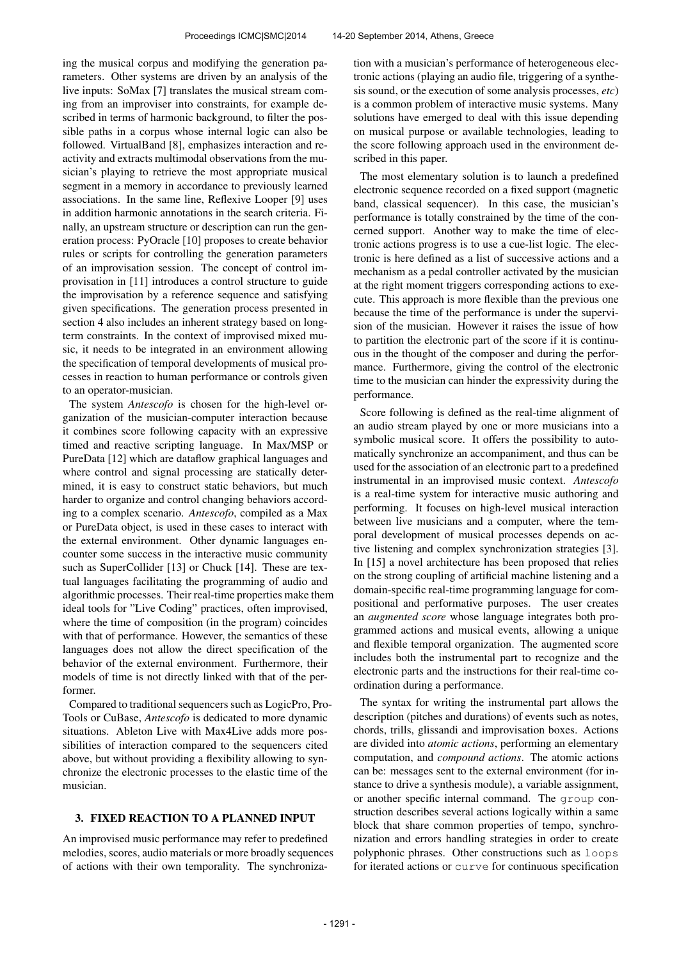ing the musical corpus and modifying the generation parameters. Other systems are driven by an analysis of the live inputs: SoMax [7] translates the musical stream coming from an improviser into constraints, for example described in terms of harmonic background, to filter the possible paths in a corpus whose internal logic can also be followed. VirtualBand [8], emphasizes interaction and reactivity and extracts multimodal observations from the musician's playing to retrieve the most appropriate musical segment in a memory in accordance to previously learned associations. In the same line, Reflexive Looper [9] uses in addition harmonic annotations in the search criteria. Finally, an upstream structure or description can run the generation process: PyOracle [10] proposes to create behavior rules or scripts for controlling the generation parameters of an improvisation session. The concept of control improvisation in [11] introduces a control structure to guide the improvisation by a reference sequence and satisfying given specifications. The generation process presented in section 4 also includes an inherent strategy based on longterm constraints. In the context of improvised mixed music, it needs to be integrated in an environment allowing the specification of temporal developments of musical processes in reaction to human performance or controls given to an operator-musician.

The system *Antescofo* is chosen for the high-level organization of the musician-computer interaction because it combines score following capacity with an expressive timed and reactive scripting language. In Max/MSP or PureData [12] which are dataflow graphical languages and where control and signal processing are statically determined, it is easy to construct static behaviors, but much harder to organize and control changing behaviors according to a complex scenario. *Antescofo*, compiled as a Max or PureData object, is used in these cases to interact with the external environment. Other dynamic languages encounter some success in the interactive music community such as SuperCollider [13] or Chuck [14]. These are textual languages facilitating the programming of audio and algorithmic processes. Their real-time properties make them ideal tools for "Live Coding" practices, often improvised, where the time of composition (in the program) coincides with that of performance. However, the semantics of these languages does not allow the direct specification of the behavior of the external environment. Furthermore, their models of time is not directly linked with that of the performer.

Compared to traditional sequencers such as LogicPro, Pro-Tools or CuBase, *Antescofo* is dedicated to more dynamic situations. Ableton Live with Max4Live adds more possibilities of interaction compared to the sequencers cited above, but without providing a flexibility allowing to synchronize the electronic processes to the elastic time of the musician.

#### 3. FIXED REACTION TO A PLANNED INPUT

An improvised music performance may refer to predefined melodies, scores, audio materials or more broadly sequences of actions with their own temporality. The synchronization with a musician's performance of heterogeneous electronic actions (playing an audio file, triggering of a synthesis sound, or the execution of some analysis processes, *etc*) is a common problem of interactive music systems. Many solutions have emerged to deal with this issue depending on musical purpose or available technologies, leading to the score following approach used in the environment described in this paper.

The most elementary solution is to launch a predefined electronic sequence recorded on a fixed support (magnetic band, classical sequencer). In this case, the musician's performance is totally constrained by the time of the concerned support. Another way to make the time of electronic actions progress is to use a cue-list logic. The electronic is here defined as a list of successive actions and a mechanism as a pedal controller activated by the musician at the right moment triggers corresponding actions to execute. This approach is more flexible than the previous one because the time of the performance is under the supervision of the musician. However it raises the issue of how to partition the electronic part of the score if it is continuous in the thought of the composer and during the performance. Furthermore, giving the control of the electronic time to the musician can hinder the expressivity during the performance.

Score following is defined as the real-time alignment of an audio stream played by one or more musicians into a symbolic musical score. It offers the possibility to automatically synchronize an accompaniment, and thus can be used for the association of an electronic part to a predefined instrumental in an improvised music context. *Antescofo* is a real-time system for interactive music authoring and performing. It focuses on high-level musical interaction between live musicians and a computer, where the temporal development of musical processes depends on active listening and complex synchronization strategies [3]. In [15] a novel architecture has been proposed that relies on the strong coupling of artificial machine listening and a domain-specific real-time programming language for compositional and performative purposes. The user creates an *augmented score* whose language integrates both programmed actions and musical events, allowing a unique and flexible temporal organization. The augmented score includes both the instrumental part to recognize and the electronic parts and the instructions for their real-time coordination during a performance.

The syntax for writing the instrumental part allows the description (pitches and durations) of events such as notes, chords, trills, glissandi and improvisation boxes. Actions are divided into *atomic actions*, performing an elementary computation, and *compound actions*. The atomic actions can be: messages sent to the external environment (for instance to drive a synthesis module), a variable assignment, or another specific internal command. The group construction describes several actions logically within a same block that share common properties of tempo, synchronization and errors handling strategies in order to create polyphonic phrases. Other constructions such as loops for iterated actions or curve for continuous specification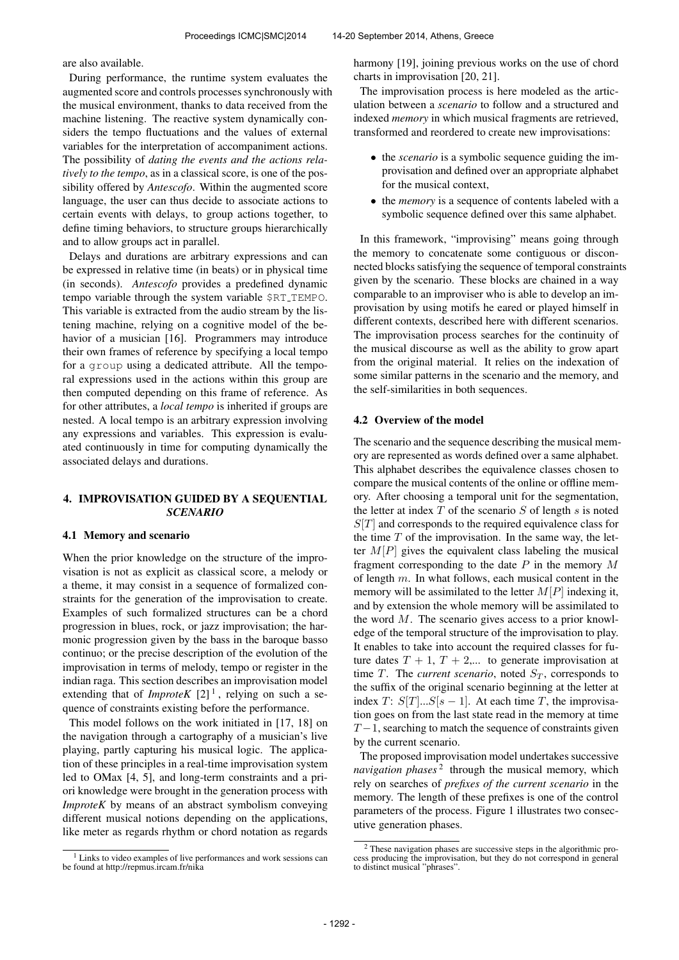are also available.

During performance, the runtime system evaluates the augmented score and controls processes synchronously with the musical environment, thanks to data received from the machine listening. The reactive system dynamically considers the tempo fluctuations and the values of external variables for the interpretation of accompaniment actions. The possibility of *dating the events and the actions relatively to the tempo*, as in a classical score, is one of the possibility offered by *Antescofo*. Within the augmented score language, the user can thus decide to associate actions to certain events with delays, to group actions together, to define timing behaviors, to structure groups hierarchically and to allow groups act in parallel.

Delays and durations are arbitrary expressions and can be expressed in relative time (in beats) or in physical time (in seconds). *Antescofo* provides a predefined dynamic tempo variable through the system variable \$RT TEMPO. This variable is extracted from the audio stream by the listening machine, relying on a cognitive model of the behavior of a musician [16]. Programmers may introduce their own frames of reference by specifying a local tempo for a group using a dedicated attribute. All the temporal expressions used in the actions within this group are then computed depending on this frame of reference. As for other attributes, a *local tempo* is inherited if groups are nested. A local tempo is an arbitrary expression involving any expressions and variables. This expression is evaluated continuously in time for computing dynamically the associated delays and durations.

# 4. IMPROVISATION GUIDED BY A SEQUENTIAL *SCENARIO*

#### 4.1 Memory and scenario

When the prior knowledge on the structure of the improvisation is not as explicit as classical score, a melody or a theme, it may consist in a sequence of formalized constraints for the generation of the improvisation to create. Examples of such formalized structures can be a chord progression in blues, rock, or jazz improvisation; the harmonic progression given by the bass in the baroque basso continuo; or the precise description of the evolution of the improvisation in terms of melody, tempo or register in the indian raga. This section describes an improvisation model extending that of *ImproteK*  $[2]$ <sup>1</sup>, relying on such a sequence of constraints existing before the performance.

This model follows on the work initiated in [17, 18] on the navigation through a cartography of a musician's live playing, partly capturing his musical logic. The application of these principles in a real-time improvisation system led to OMax [4, 5], and long-term constraints and a priori knowledge were brought in the generation process with *ImproteK* by means of an abstract symbolism conveying different musical notions depending on the applications, like meter as regards rhythm or chord notation as regards harmony [19], joining previous works on the use of chord charts in improvisation [20, 21].

The improvisation process is here modeled as the articulation between a *scenario* to follow and a structured and indexed *memory* in which musical fragments are retrieved, transformed and reordered to create new improvisations:

- the *scenario* is a symbolic sequence guiding the improvisation and defined over an appropriate alphabet for the musical context,
- the *memory* is a sequence of contents labeled with a symbolic sequence defined over this same alphabet.

In this framework, "improvising" means going through the memory to concatenate some contiguous or disconnected blocks satisfying the sequence of temporal constraints given by the scenario. These blocks are chained in a way comparable to an improviser who is able to develop an improvisation by using motifs he eared or played himself in different contexts, described here with different scenarios. The improvisation process searches for the continuity of the musical discourse as well as the ability to grow apart from the original material. It relies on the indexation of some similar patterns in the scenario and the memory, and the self-similarities in both sequences.

#### 4.2 Overview of the model

The scenario and the sequence describing the musical memory are represented as words defined over a same alphabet. This alphabet describes the equivalence classes chosen to compare the musical contents of the online or offline memory. After choosing a temporal unit for the segmentation, the letter at index  $T$  of the scenario  $S$  of length  $s$  is noted  $S[T]$  and corresponds to the required equivalence class for the time  $T$  of the improvisation. In the same way, the letter  $M[P]$  gives the equivalent class labeling the musical fragment corresponding to the date  $P$  in the memory  $M$ of length m. In what follows, each musical content in the memory will be assimilated to the letter  $M[P]$  indexing it, and by extension the whole memory will be assimilated to the word  $M$ . The scenario gives access to a prior knowledge of the temporal structure of the improvisation to play. It enables to take into account the required classes for future dates  $T + 1$ ,  $T + 2,...$  to generate improvisation at time T. The *current scenario*, noted  $S_T$ , corresponds to the suffix of the original scenario beginning at the letter at index T:  $S[T]...S[s-1]$ . At each time T, the improvisation goes on from the last state read in the memory at time  $T-1$ , searching to match the sequence of constraints given by the current scenario.

The proposed improvisation model undertakes successive navigation phases<sup>2</sup> through the musical memory, which rely on searches of *prefixes of the current scenario* in the memory. The length of these prefixes is one of the control parameters of the process. Figure 1 illustrates two consecutive generation phases.

<sup>&</sup>lt;sup>1</sup> Links to video examples of live performances and work sessions can be found at http://repmus.ircam.fr/nika

<sup>2</sup> These navigation phases are successive steps in the algorithmic pro-cess producing the improvisation, but they do not correspond in general to distinct musical "phrases".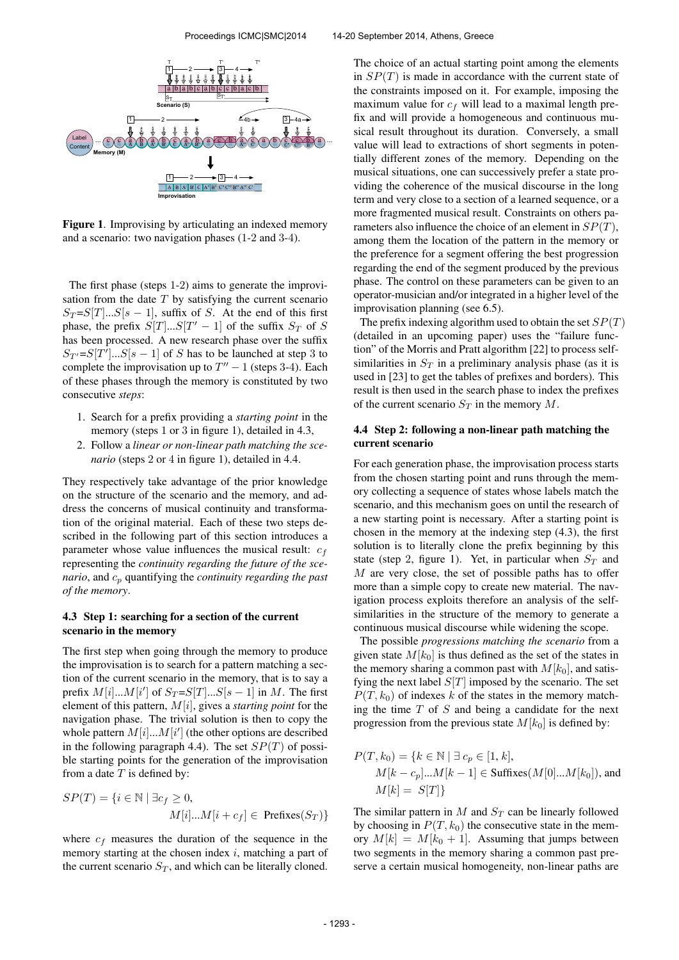

Figure 1. Improvising by articulating an indexed memory and a scenario: two navigation phases (1-2 and 3-4).

The first phase (steps 1-2) aims to generate the improvisation from the date  $T$  by satisfying the current scenario  $S_T = S[T]...S[s-1]$ , suffix of S. At the end of this first phase, the prefix  $S[T]...S[T'-1]$  of the suffix  $S_T$  of S has been processed. A new research phase over the suffix  $S_{T'} = S[T']...S[s-1]$  of S has to be launched at step 3 to complete the improvisation up to  $T'' - 1$  (steps 3-4). Each of these phases through the memory is constituted by two consecutive *steps*:

- 1. Search for a prefix providing a *starting point* in the memory (steps 1 or 3 in figure 1), detailed in 4.3,
- 2. Follow a *linear or non-linear path matching the scenario* (steps 2 or 4 in figure 1), detailed in 4.4.

They respectively take advantage of the prior knowledge on the structure of the scenario and the memory, and address the concerns of musical continuity and transformation of the original material. Each of these two steps described in the following part of this section introduces a parameter whose value influences the musical result:  $c_f$ representing the *continuity regarding the future of the scenario*, and  $c_p$  quantifying the *continuity regarding the past of the memory*.

### 4.3 Step 1: searching for a section of the current scenario in the memory

The first step when going through the memory to produce the improvisation is to search for a pattern matching a section of the current scenario in the memory, that is to say a prefix  $M[i]...M[i']$  of  $S_T = S[T]...S[s-1]$  in M. The first element of this pattern, M[i], gives a *starting point* for the navigation phase. The trivial solution is then to copy the whole pattern  $M[i]...M[i']$  (the other options are described in the following paragraph 4.4). The set  $SP(T)$  of possible starting points for the generation of the improvisation from a date  $T$  is defined by:

$$
SP(T) = \{ i \in \mathbb{N} \mid \exists c_f \ge 0,
$$
  

$$
M[i]...M[i + c_f] \in \text{Prefixes}(S_T) \}
$$

where  $c_f$  measures the duration of the sequence in the memory starting at the chosen index  $i$ , matching a part of the current scenario  $S_T$ , and which can be literally cloned.

The choice of an actual starting point among the elements in  $SP(T)$  is made in accordance with the current state of the constraints imposed on it. For example, imposing the maximum value for  $c_f$  will lead to a maximal length prefix and will provide a homogeneous and continuous musical result throughout its duration. Conversely, a small value will lead to extractions of short segments in potentially different zones of the memory. Depending on the musical situations, one can successively prefer a state providing the coherence of the musical discourse in the long term and very close to a section of a learned sequence, or a more fragmented musical result. Constraints on others parameters also influence the choice of an element in  $SP(T)$ , among them the location of the pattern in the memory or the preference for a segment offering the best progression regarding the end of the segment produced by the previous phase. The control on these parameters can be given to an operator-musician and/or integrated in a higher level of the improvisation planning (see 6.5).

The prefix indexing algorithm used to obtain the set  $SP(T)$ (detailed in an upcoming paper) uses the "failure function" of the Morris and Pratt algorithm [22] to process selfsimilarities in  $S_T$  in a preliminary analysis phase (as it is used in [23] to get the tables of prefixes and borders). This result is then used in the search phase to index the prefixes of the current scenario  $S_T$  in the memory  $M$ .

## 4.4 Step 2: following a non-linear path matching the current scenario

For each generation phase, the improvisation process starts from the chosen starting point and runs through the memory collecting a sequence of states whose labels match the scenario, and this mechanism goes on until the research of a new starting point is necessary. After a starting point is chosen in the memory at the indexing step (4.3), the first solution is to literally clone the prefix beginning by this state (step 2, figure 1). Yet, in particular when  $S_T$  and M are very close, the set of possible paths has to offer more than a simple copy to create new material. The navigation process exploits therefore an analysis of the selfsimilarities in the structure of the memory to generate a continuous musical discourse while widening the scope.

The possible *progressions matching the scenario* from a given state  $M[k_0]$  is thus defined as the set of the states in the memory sharing a common past with  $M[k_0]$ , and satisfying the next label  $S[T]$  imposed by the scenario. The set  $P(T, k_0)$  of indexes k of the states in the memory matching the time  $T$  of  $S$  and being a candidate for the next progression from the previous state  $M[k_0]$  is defined by:

$$
P(T, k_0) = \{k \in \mathbb{N} \mid \exists \ c_p \in [1, k],
$$
  
 
$$
M[k - c_p] ... M[k - 1] \in \text{Suffixes}(M[0] ... M[k_0]), \text{ and}
$$
  
 
$$
M[k] = S[T]\}
$$

The similar pattern in  $M$  and  $S_T$  can be linearly followed by choosing in  $P(T, k_0)$  the consecutive state in the memory  $M[k] = M[k_0 + 1]$ . Assuming that jumps between two segments in the memory sharing a common past preserve a certain musical homogeneity, non-linear paths are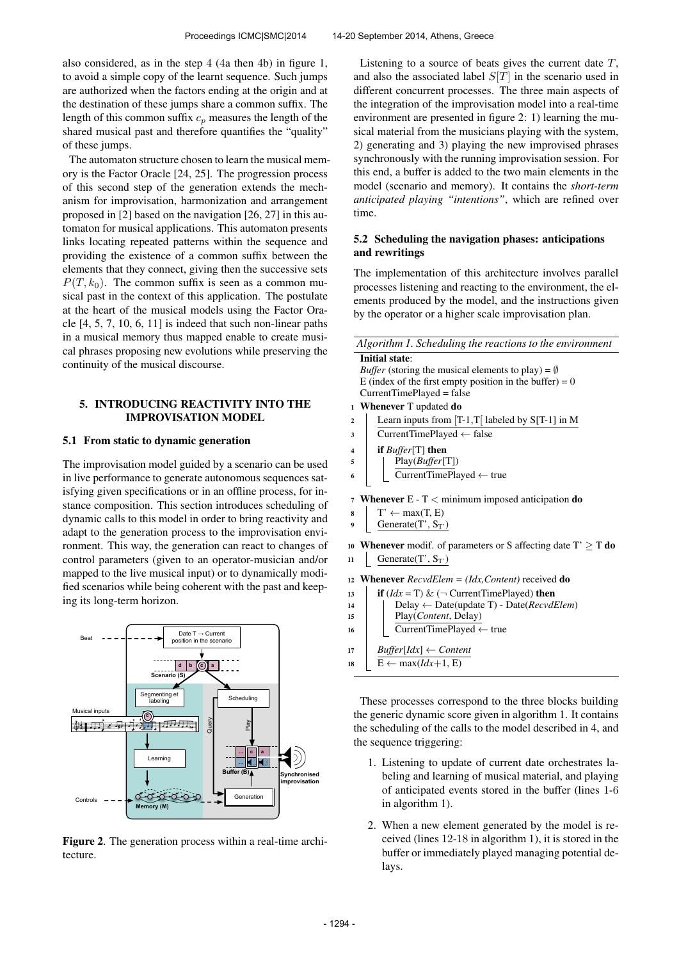also considered, as in the step 4 (4a then 4b) in figure 1, to avoid a simple copy of the learnt sequence. Such jumps are authorized when the factors ending at the origin and at the destination of these jumps share a common suffix. The length of this common suffix  $c_p$  measures the length of the shared musical past and therefore quantifies the "quality" of these jumps.

The automaton structure chosen to learn the musical memory is the Factor Oracle [24, 25]. The progression process of this second step of the generation extends the mechanism for improvisation, harmonization and arrangement proposed in [2] based on the navigation [26, 27] in this automaton for musical applications. This automaton presents links locating repeated patterns within the sequence and providing the existence of a common suffix between the elements that they connect, giving then the successive sets  $P(T, k_0)$ . The common suffix is seen as a common musical past in the context of this application. The postulate at the heart of the musical models using the Factor Oracle [4, 5, 7, 10, 6, 11] is indeed that such non-linear paths in a musical memory thus mapped enable to create musical phrases proposing new evolutions while preserving the continuity of the musical discourse.

# 5. INTRODUCING REACTIVITY INTO THE IMPROVISATION MODEL

### 5.1 From static to dynamic generation

The improvisation model guided by a scenario can be used in live performance to generate autonomous sequences satisfying given specifications or in an offline process, for instance composition. This section introduces scheduling of dynamic calls to this model in order to bring reactivity and adapt to the generation process to the improvisation environment. This way, the generation can react to changes of control parameters (given to an operator-musician and/or mapped to the live musical input) or to dynamically modified scenarios while being coherent with the past and keeping its long-term horizon.





Listening to a source of beats gives the current date  $T$ , and also the associated label  $S[T]$  in the scenario used in different concurrent processes. The three main aspects of the integration of the improvisation model into a real-time environment are presented in figure 2: 1) learning the musical material from the musicians playing with the system, 2) generating and 3) playing the new improvised phrases synchronously with the running improvisation session. For this end, a buffer is added to the two main elements in the model (scenario and memory). It contains the *short-term anticipated playing "intentions"*, which are refined over time.

### 5.2 Scheduling the navigation phases: anticipations and rewritings

The implementation of this architecture involves parallel processes listening and reacting to the environment, the elements produced by the model, and the instructions given by the operator or a higher scale improvisation plan.

|                | Algorithm 1. Scheduling the reactions to the environment                   |
|----------------|----------------------------------------------------------------------------|
|                | <b>Initial state:</b>                                                      |
|                | <i>Buffer</i> (storing the musical elements to play) = $\emptyset$         |
|                | E (index of the first empty position in the buffer) = 0                    |
|                | $CurrentTimePlayer = false$                                                |
| $\mathbf{1}$   | <b>Whenever</b> T updated <b>do</b>                                        |
| $\overline{2}$ | Learn inputs from $[T-1,T]$ labeled by S[T-1] in M                         |
| 3              | CurrentTimePlayed $\leftarrow$ false                                       |
| 4              | if $Buffer[T]$ then                                                        |
| 5              | Play(Buffer[T])                                                            |
| 6              | $\overline{\text{CurrentTimePlayer}} \gets \text{true}$                    |
|                |                                                                            |
| $\overline{7}$ | <b>Whenever</b> $E - T <$ minimum imposed anticipation <b>do</b>           |
| 8              | $T' \leftarrow max(T, E)$                                                  |
| 9              | Generate $(T', S_T)$                                                       |
|                | 10 <b>Whenever</b> modif. of parameters or S affecting date $T' \geq T$ do |
|                |                                                                            |
| 11             | Generate $(T', S_{T'})$                                                    |
| 12             | <b>Whenever</b> $RecvdElem = (Idx, Content) received$ do                   |
| 13             | <b>if</b> $(ddx = T) \& (\neg$ CurrentTimePlayed) <b>then</b>              |
| 14             | Delay $\leftarrow$ Date(update T) - Date(RecvdElem)                        |
| 15             | Play(Content, Delay)                                                       |
| 16             | CurrentTimePlayed ← true                                                   |
|                |                                                                            |
| 17             | $Buffer[Idx] \leftarrow Content$                                           |

These processes correspond to the three blocks building the generic dynamic score given in algorithm 1. It contains the scheduling of the calls to the model described in 4, and the sequence triggering:

18 | E  $\leftarrow$  max(*Idx*+1, E)

- 1. Listening to update of current date orchestrates labeling and learning of musical material, and playing of anticipated events stored in the buffer (lines 1-6 in algorithm 1).
- 2. When a new element generated by the model is received (lines 12-18 in algorithm 1), it is stored in the buffer or immediately played managing potential delays.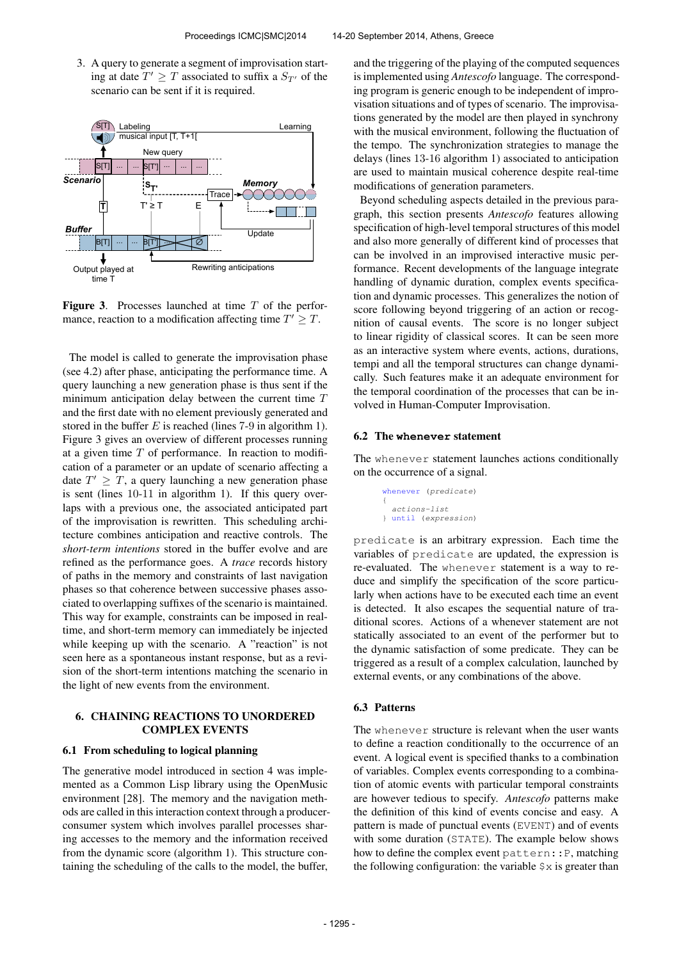3. A query to generate a segment of improvisation starting at date  $T' \geq T$  associated to suffix a  $S_{T'}$  of the scenario can be sent if it is required.



**Figure 3.** Processes launched at time  $T$  of the performance, reaction to a modification affecting time  $T' \geq T$ .

The model is called to generate the improvisation phase (see 4.2) after phase, anticipating the performance time. A query launching a new generation phase is thus sent if the minimum anticipation delay between the current time  $T$ and the first date with no element previously generated and stored in the buffer  $E$  is reached (lines 7-9 in algorithm 1). Figure 3 gives an overview of different processes running at a given time  $T$  of performance. In reaction to modification of a parameter or an update of scenario affecting a date  $T' \geq T$ , a query launching a new generation phase is sent (lines 10-11 in algorithm 1). If this query overlaps with a previous one, the associated anticipated part of the improvisation is rewritten. This scheduling architecture combines anticipation and reactive controls. The *short-term intentions* stored in the buffer evolve and are refined as the performance goes. A *trace* records history of paths in the memory and constraints of last navigation phases so that coherence between successive phases associated to overlapping suffixes of the scenario is maintained. This way for example, constraints can be imposed in realtime, and short-term memory can immediately be injected while keeping up with the scenario. A "reaction" is not seen here as a spontaneous instant response, but as a revision of the short-term intentions matching the scenario in the light of new events from the environment.

# 6. CHAINING REACTIONS TO UNORDERED COMPLEX EVENTS

#### 6.1 From scheduling to logical planning

The generative model introduced in section 4 was implemented as a Common Lisp library using the OpenMusic environment [28]. The memory and the navigation methods are called in this interaction context through a producerconsumer system which involves parallel processes sharing accesses to the memory and the information received from the dynamic score (algorithm 1). This structure containing the scheduling of the calls to the model, the buffer,

and the triggering of the playing of the computed sequences is implemented using *Antescofo* language. The corresponding program is generic enough to be independent of improvisation situations and of types of scenario. The improvisations generated by the model are then played in synchrony with the musical environment, following the fluctuation of the tempo. The synchronization strategies to manage the delays (lines 13-16 algorithm 1) associated to anticipation are used to maintain musical coherence despite real-time modifications of generation parameters.

Beyond scheduling aspects detailed in the previous paragraph, this section presents *Antescofo* features allowing specification of high-level temporal structures of this model and also more generally of different kind of processes that can be involved in an improvised interactive music performance. Recent developments of the language integrate handling of dynamic duration, complex events specification and dynamic processes. This generalizes the notion of score following beyond triggering of an action or recognition of causal events. The score is no longer subject to linear rigidity of classical scores. It can be seen more as an interactive system where events, actions, durations, tempi and all the temporal structures can change dynamically. Such features make it an adequate environment for the temporal coordination of the processes that can be involved in Human-Computer Improvisation.

### 6.2 The **whenever** statement

The whenever statement launches actions conditionally on the occurrence of a signal.

```
whenever (predicate)
{
 actions-list
} until (expression)
```
predicate is an arbitrary expression. Each time the variables of predicate are updated, the expression is re-evaluated. The whenever statement is a way to reduce and simplify the specification of the score particularly when actions have to be executed each time an event is detected. It also escapes the sequential nature of traditional scores. Actions of a whenever statement are not statically associated to an event of the performer but to the dynamic satisfaction of some predicate. They can be triggered as a result of a complex calculation, launched by external events, or any combinations of the above.

# 6.3 Patterns

The whenever structure is relevant when the user wants to define a reaction conditionally to the occurrence of an event. A logical event is specified thanks to a combination of variables. Complex events corresponding to a combination of atomic events with particular temporal constraints are however tedious to specify. *Antescofo* patterns make the definition of this kind of events concise and easy. A pattern is made of punctual events (EVENT) and of events with some duration (STATE). The example below shows how to define the complex event pattern::P, matching the following configuration: the variable  $\frac{1}{2} \times x$  is greater than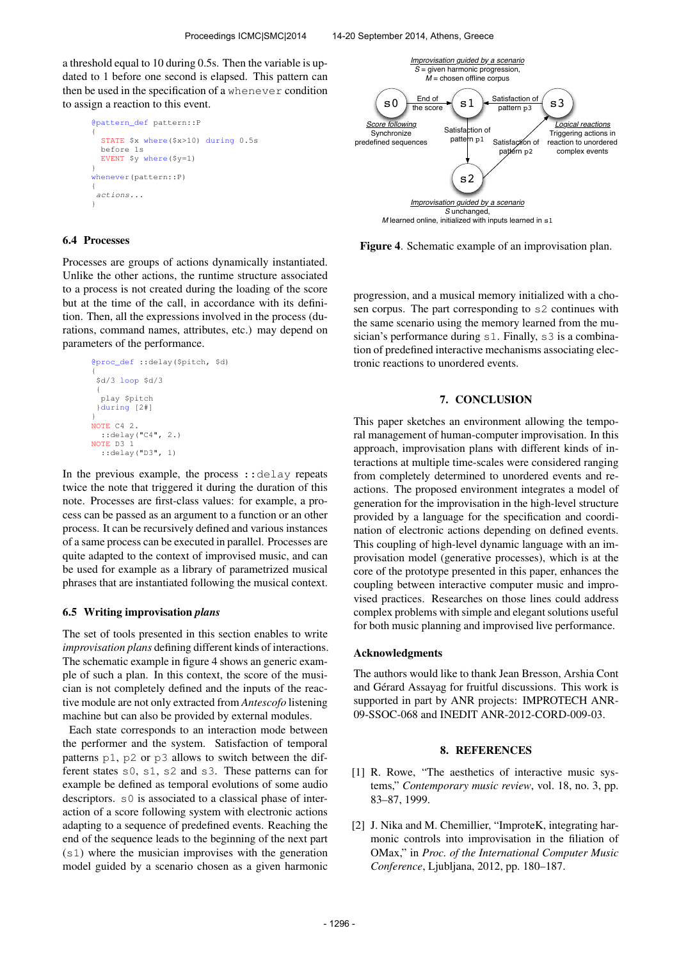a threshold equal to 10 during 0.5s. Then the variable is updated to 1 before one second is elapsed. This pattern can then be used in the specification of a whenever condition to assign a reaction to this event.

```
@pattern_def pattern::P
{
  STATE $x where($x>10) during 0.5s
 before 1s
 EVENT $y where($y=1)
}
whenever(pattern::P)
{
 actions...
}
```
### 6.4 Processes

Processes are groups of actions dynamically instantiated. Unlike the other actions, the runtime structure associated to a process is not created during the loading of the score but at the time of the call, in accordance with its definition. Then, all the expressions involved in the process (durations, command names, attributes, etc.) may depend on parameters of the performance.

> @proc\_def ::delay(\$pitch, \$d) { \$d/3 loop \$d/3 { play \$pitch }during [2#] } NOTE C4 2. ::delay("C4", 2.) NOTE D3 1 ::delay("D3", 1)

In the previous example, the process ::delay repeats twice the note that triggered it during the duration of this note. Processes are first-class values: for example, a process can be passed as an argument to a function or an other process. It can be recursively defined and various instances of a same process can be executed in parallel. Processes are quite adapted to the context of improvised music, and can be used for example as a library of parametrized musical phrases that are instantiated following the musical context.

#### 6.5 Writing improvisation *plans*

The set of tools presented in this section enables to write *improvisation plans* defining different kinds of interactions. The schematic example in figure 4 shows an generic example of such a plan. In this context, the score of the musician is not completely defined and the inputs of the reactive module are not only extracted from *Antescofo* listening machine but can also be provided by external modules.

Each state corresponds to an interaction mode between the performer and the system. Satisfaction of temporal patterns p1, p2 or p3 allows to switch between the different states s0, s1, s2 and s3. These patterns can for example be defined as temporal evolutions of some audio descriptors. s0 is associated to a classical phase of interaction of a score following system with electronic actions adapting to a sequence of predefined events. Reaching the end of the sequence leads to the beginning of the next part (s1) where the musician improvises with the generation model guided by a scenario chosen as a given harmonic



Figure 4. Schematic example of an improvisation plan.

progression, and a musical memory initialized with a chosen corpus. The part corresponding to s2 continues with the same scenario using the memory learned from the musician's performance during s1. Finally, s3 is a combination of predefined interactive mechanisms associating electronic reactions to unordered events.

### 7. CONCLUSION

This paper sketches an environment allowing the temporal management of human-computer improvisation. In this approach, improvisation plans with different kinds of interactions at multiple time-scales were considered ranging from completely determined to unordered events and reactions. The proposed environment integrates a model of generation for the improvisation in the high-level structure provided by a language for the specification and coordination of electronic actions depending on defined events. This coupling of high-level dynamic language with an improvisation model (generative processes), which is at the core of the prototype presented in this paper, enhances the coupling between interactive computer music and improvised practices. Researches on those lines could address complex problems with simple and elegant solutions useful for both music planning and improvised live performance.

#### Acknowledgments

The authors would like to thank Jean Bresson, Arshia Cont and Gérard Assayag for fruitful discussions. This work is supported in part by ANR projects: IMPROTECH ANR-09-SSOC-068 and INEDIT ANR-2012-CORD-009-03.

#### 8. REFERENCES

- [1] R. Rowe, "The aesthetics of interactive music systems," *Contemporary music review*, vol. 18, no. 3, pp. 83–87, 1999.
- [2] J. Nika and M. Chemillier, "ImproteK, integrating harmonic controls into improvisation in the filiation of OMax," in *Proc. of the International Computer Music Conference*, Ljubljana, 2012, pp. 180–187.